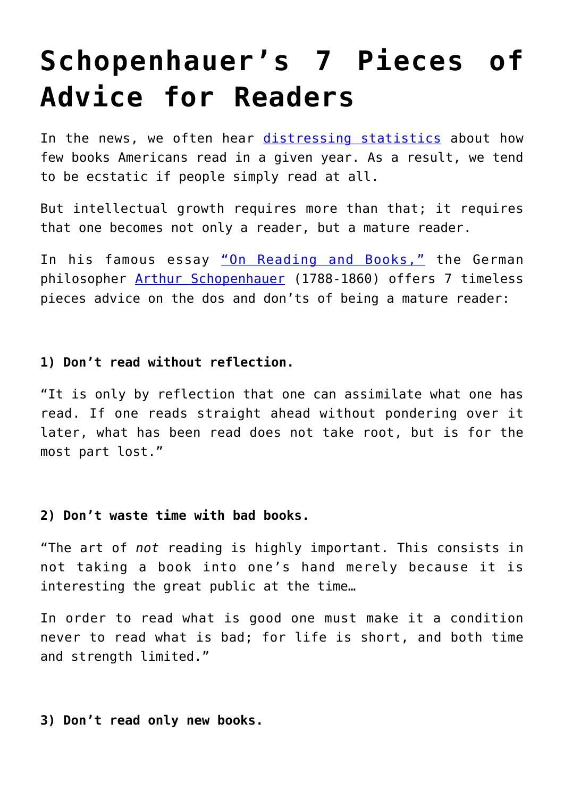# **[Schopenhauer's 7 Pieces of](https://intellectualtakeout.org/2016/01/schopenhauers-7-pieces-of-advice-for-readers/) [Advice for Readers](https://intellectualtakeout.org/2016/01/schopenhauers-7-pieces-of-advice-for-readers/)**

In the news, we often hear [distressing statistics](https://www.intellectualtakeout.org/blog/almost-1-3-americans-didn%E2%80%99t-read-book-last-year) about how few books Americans read in a given year. As a result, we tend to be ecstatic if people simply read at all.

But intellectual growth requires more than that; it requires that one becomes not only a reader, but a mature reader.

In his famous essay ["On Reading and Books,"](https://ebooks.adelaide.edu.au/s/schopenhauer/arthur/essays/chapter3.html) the German philosopher [Arthur Schopenhauer](https://en.wikipedia.org/wiki/Arthur_Schopenhauer) (1788-1860) offers 7 timeless pieces advice on the dos and don'ts of being a mature reader:

## **1) Don't read without reflection.**

"It is only by reflection that one can assimilate what one has read. If one reads straight ahead without pondering over it later, what has been read does not take root, but is for the most part lost."

## **2) Don't waste time with bad books.**

"The art of *not* reading is highly important. This consists in not taking a book into one's hand merely because it is interesting the great public at the time…

In order to read what is good one must make it a condition never to read what is bad; for life is short, and both time and strength limited."

## **3) Don't read only new books.**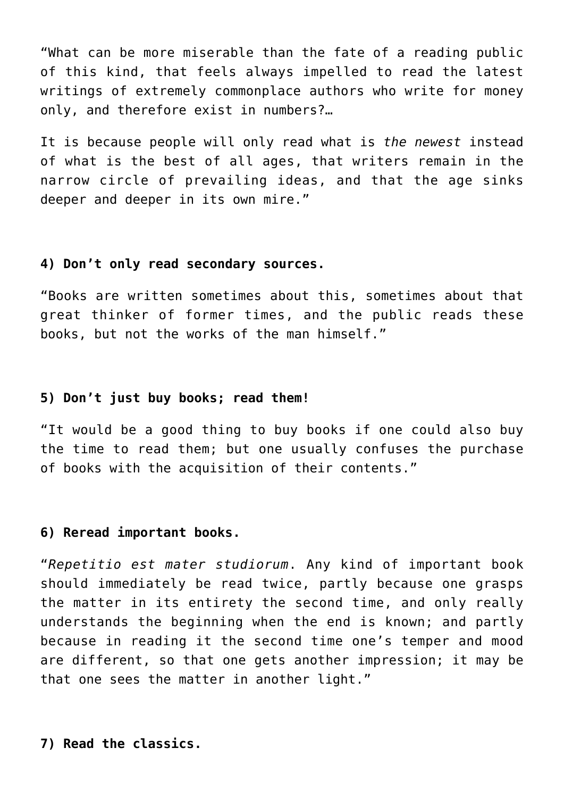"What can be more miserable than the fate of a reading public of this kind, that feels always impelled to read the latest writings of extremely commonplace authors who write for money only, and therefore exist in numbers?…

It is because people will only read what is *the newest* instead of what is the best of all ages, that writers remain in the narrow circle of prevailing ideas, and that the age sinks deeper and deeper in its own mire."

#### **4) Don't only read secondary sources.**

"Books are written sometimes about this, sometimes about that great thinker of former times, and the public reads these books, but not the works of the man himself."

#### **5) Don't just buy books; read them!**

"It would be a good thing to buy books if one could also buy the time to read them; but one usually confuses the purchase of books with the acquisition of their contents."

#### **6) Reread important books.**

"*Repetitio est mater studiorum*. Any kind of important book should immediately be read twice, partly because one grasps the matter in its entirety the second time, and only really understands the beginning when the end is known; and partly because in reading it the second time one's temper and mood are different, so that one gets another impression; it may be that one sees the matter in another light."

#### **7) Read the classics.**